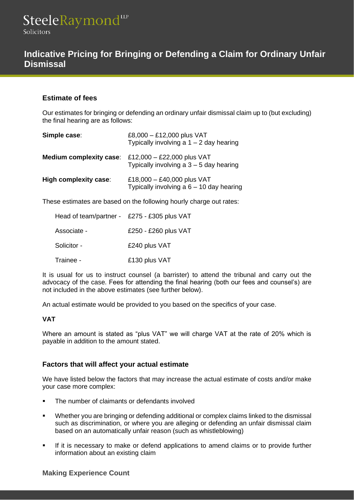# **Indicative Pricing for Bringing or Defending a Claim for Ordinary Unfair Dismissal**

# **Estimate of fees**

Our estimates for bringing or defending an ordinary unfair dismissal claim up to (but excluding) the final hearing are as follows:

| Simple case:                   | £8,000 - £12,000 plus VAT<br>Typically involving a $1 - 2$ day hearing   |
|--------------------------------|--------------------------------------------------------------------------|
| <b>Medium complexity case:</b> | £12,000 - £22,000 plus VAT<br>Typically involving a $3 - 5$ day hearing  |
| High complexity case:          | £18,000 - £40,000 plus VAT<br>Typically involving a $6 - 10$ day hearing |

These estimates are based on the following hourly charge out rates:

| Head of team/partner - £275 - £305 plus VAT |                      |
|---------------------------------------------|----------------------|
| Associate -                                 | £250 - £260 plus VAT |
| Solicitor -                                 | £240 plus VAT        |
| Trainee -                                   | £130 plus VAT        |

It is usual for us to instruct counsel (a barrister) to attend the tribunal and carry out the advocacy of the case. Fees for attending the final hearing (both our fees and counsel's) are not included in the above estimates (see further below).

An actual estimate would be provided to you based on the specifics of your case.

## **VAT**

Where an amount is stated as "plus VAT" we will charge VAT at the rate of 20% which is payable in addition to the amount stated.

# **Factors that will affect your actual estimate**

We have listed below the factors that may increase the actual estimate of costs and/or make your case more complex:

- The number of claimants or defendants involved
- Whether you are bringing or defending additional or complex claims linked to the dismissal such as discrimination, or where you are alleging or defending an unfair dismissal claim based on an automatically unfair reason (such as whistleblowing)
- **.** If it is necessary to make or defend applications to amend claims or to provide further information about an existing claim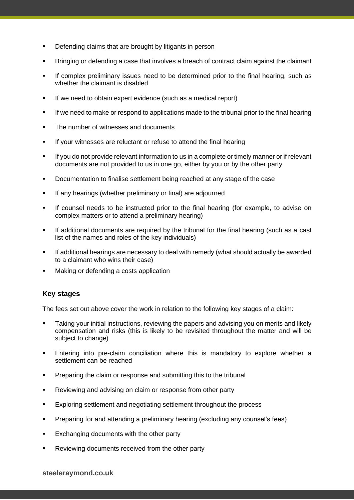- Defending claims that are brought by litigants in person
- Bringing or defending a case that involves a breach of contract claim against the claimant
- **•** If complex preliminary issues need to be determined prior to the final hearing, such as whether the claimant is disabled
- **EXECT** If we need to obtain expert evidence (such as a medical report)
- **■** If we need to make or respond to applications made to the tribunal prior to the final hearing
- The number of witnesses and documents
- If your witnesses are reluctant or refuse to attend the final hearing
- If you do not provide relevant information to us in a complete or timely manner or if relevant documents are not provided to us in one go, either by you or by the other party
- Documentation to finalise settlement being reached at any stage of the case
- **•** If any hearings (whether preliminary or final) are adjourned
- If counsel needs to be instructed prior to the final hearing (for example, to advise on complex matters or to attend a preliminary hearing)
- **■** If additional documents are required by the tribunal for the final hearing (such as a cast list of the names and roles of the key individuals)
- **■** If additional hearings are necessary to deal with remedy (what should actually be awarded to a claimant who wins their case)
- Making or defending a costs application

# **Key stages**

The fees set out above cover the work in relation to the following key stages of a claim:

- Taking your initial instructions, reviewing the papers and advising you on merits and likely compensation and risks (this is likely to be revisited throughout the matter and will be subject to change)
- Entering into pre-claim conciliation where this is mandatory to explore whether a settlement can be reached
- Preparing the claim or response and submitting this to the tribunal
- Reviewing and advising on claim or response from other party
- Exploring settlement and negotiating settlement throughout the process
- **•** Preparing for and attending a preliminary hearing (excluding any counsel's fees)
- Exchanging documents with the other party
- Reviewing documents received from the other party

#### **steeleraymond.co.uk**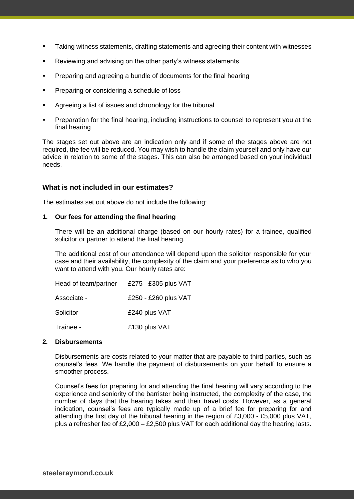- Taking witness statements, drafting statements and agreeing their content with witnesses
- Reviewing and advising on the other party's witness statements
- **•** Preparing and agreeing a bundle of documents for the final hearing
- Preparing or considering a schedule of loss
- Agreeing a list of issues and chronology for the tribunal
- **•** Preparation for the final hearing, including instructions to counsel to represent you at the final hearing

The stages set out above are an indication only and if some of the stages above are not required, the fee will be reduced. You may wish to handle the claim yourself and only have our advice in relation to some of the stages. This can also be arranged based on your individual needs.

## **What is not included in our estimates?**

The estimates set out above do not include the following:

#### **1. Our fees for attending the final hearing**

There will be an additional charge (based on our hourly rates) for a trainee, qualified solicitor or partner to attend the final hearing.

The additional cost of our attendance will depend upon the solicitor responsible for your case and their availability, the complexity of the claim and your preference as to who you want to attend with you. Our hourly rates are:

| Head of team/partner - £275 - £305 plus VAT |                      |
|---------------------------------------------|----------------------|
| Associate -                                 | £250 - £260 plus VAT |
| Solicitor -                                 | £240 plus VAT        |
| Trainee -                                   | £130 plus VAT        |

#### **2. Disbursements**

Disbursements are costs related to your matter that are payable to third parties, such as counsel's fees. We handle the payment of disbursements on your behalf to ensure a smoother process.

Counsel's fees for preparing for and attending the final hearing will vary according to the experience and seniority of the barrister being instructed, the complexity of the case, the number of days that the hearing takes and their travel costs. However, as a general indication, counsel's fees are typically made up of a brief fee for preparing for and attending the first day of the tribunal hearing in the region of £3,000 - £5,000 plus VAT, plus a refresher fee of  $£2,000 - £2,500$  plus VAT for each additional day the hearing lasts.